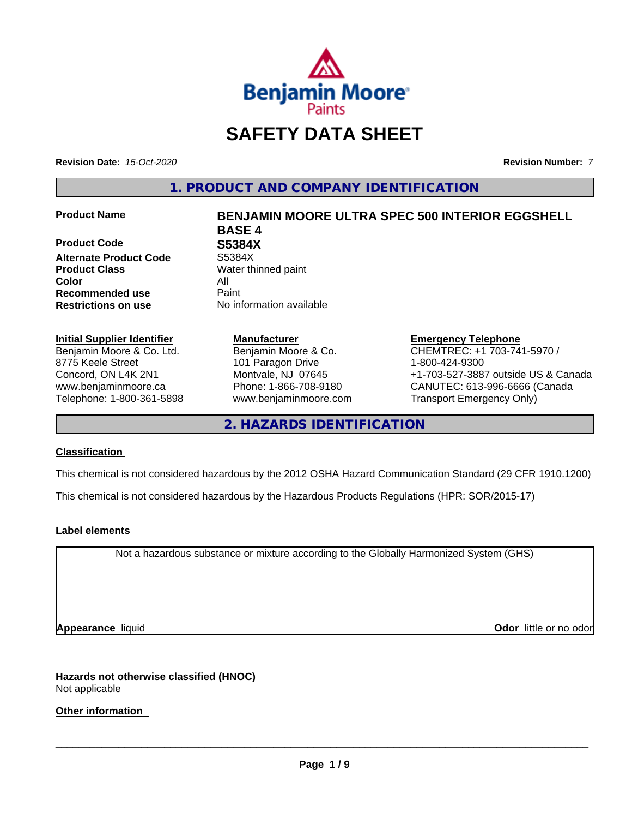

# **SAFETY DATA SHEET**

**Revision Date:** *15-Oct-2020* **Revision Number:** *7*

**1. PRODUCT AND COMPANY IDENTIFICATION**

**Product Code 685384X<br>Alternate Product Code 55384X Alternate Product Code Product Class** Water thinned paint **Color** All **Recommended use** Paint **Restrictions on use** No information available

## **Initial Supplier Identifier**

Benjamin Moore & Co. Ltd. 8775 Keele Street Concord, ON L4K 2N1 www.benjaminmoore.ca Telephone: 1-800-361-5898

# **Product Name BENJAMIN MOORE ULTRA SPEC 500 INTERIOR EGGSHELL BASE 4**

**Manufacturer** Benjamin Moore & Co. 101 Paragon Drive Montvale, NJ 07645 Phone: 1-866-708-9180 www.benjaminmoore.com

## **Emergency Telephone**

CHEMTREC: +1 703-741-5970 / 1-800-424-9300 +1-703-527-3887 outside US & Canada CANUTEC: 613-996-6666 (Canada Transport Emergency Only)

**2. HAZARDS IDENTIFICATION**

#### **Classification**

This chemical is not considered hazardous by the 2012 OSHA Hazard Communication Standard (29 CFR 1910.1200)

This chemical is not considered hazardous by the Hazardous Products Regulations (HPR: SOR/2015-17)

#### **Label elements**

Not a hazardous substance or mixture according to the Globally Harmonized System (GHS)

**Appearance** liquid **CODO** *Appearance liquid* **Odor**  *CODO CODO* **<b>***CODO CODO CODO CODO CODO CODO CODO CODO CODO CODO CODO CODO CODO CODO CODO CODO CODO* 

**Hazards not otherwise classified (HNOC)** Not applicable

**Other information**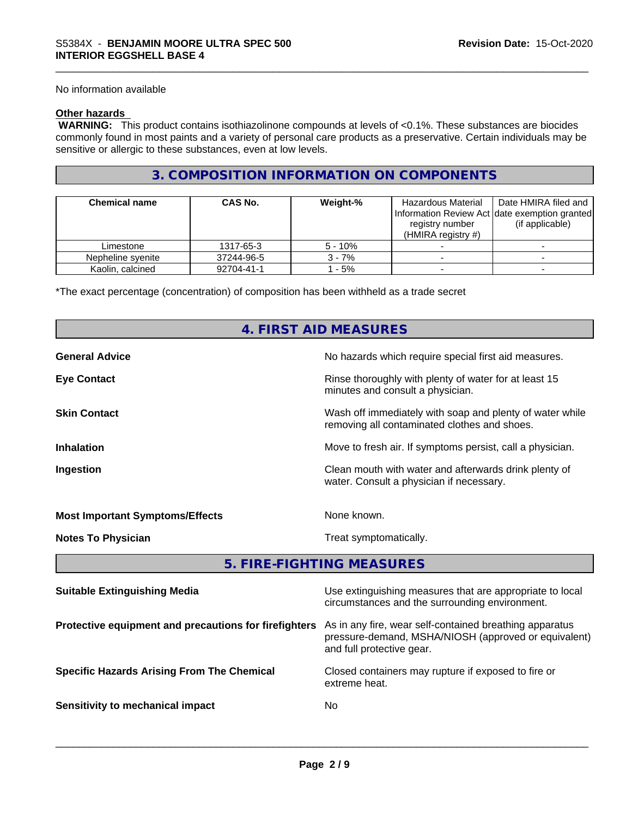No information available

#### **Other hazards**

 **WARNING:** This product contains isothiazolinone compounds at levels of <0.1%. These substances are biocides commonly found in most paints and a variety of personal care products as a preservative. Certain individuals may be sensitive or allergic to these substances, even at low levels.

### **3. COMPOSITION INFORMATION ON COMPONENTS**

| <b>Chemical name</b> | <b>CAS No.</b> | Weight-%  | Hazardous Material<br>Information Review Act Idate exemption granted<br>registry number<br>(HMIRA registry $#$ ) | Date HMIRA filed and<br>(if applicable) |
|----------------------|----------------|-----------|------------------------------------------------------------------------------------------------------------------|-----------------------------------------|
| Limestone            | 1317-65-3      | $5 - 10%$ |                                                                                                                  |                                         |
| Nepheline svenite    | 37244-96-5     | $3 - 7%$  |                                                                                                                  |                                         |
| Kaolin, calcined     | 92704-41-1     | - 5%      |                                                                                                                  |                                         |

\*The exact percentage (concentration) of composition has been withheld as a trade secret

## **4. FIRST AID MEASURES**

| <b>General Advice</b>                  | No hazards which require special first aid measures.                                                     |
|----------------------------------------|----------------------------------------------------------------------------------------------------------|
| <b>Eye Contact</b>                     | Rinse thoroughly with plenty of water for at least 15<br>minutes and consult a physician.                |
| <b>Skin Contact</b>                    | Wash off immediately with soap and plenty of water while<br>removing all contaminated clothes and shoes. |
| <b>Inhalation</b>                      | Move to fresh air. If symptoms persist, call a physician.                                                |
| Ingestion                              | Clean mouth with water and afterwards drink plenty of<br>water. Consult a physician if necessary.        |
| <b>Most Important Symptoms/Effects</b> | None known.                                                                                              |
| <b>Notes To Physician</b>              | Treat symptomatically.                                                                                   |
|                                        |                                                                                                          |

**5. FIRE-FIGHTING MEASURES**

| <b>Suitable Extinguishing Media</b>                   | Use extinguishing measures that are appropriate to local<br>circumstances and the surrounding environment.                                   |
|-------------------------------------------------------|----------------------------------------------------------------------------------------------------------------------------------------------|
| Protective equipment and precautions for firefighters | As in any fire, wear self-contained breathing apparatus<br>pressure-demand, MSHA/NIOSH (approved or equivalent)<br>and full protective gear. |
| <b>Specific Hazards Arising From The Chemical</b>     | Closed containers may rupture if exposed to fire or<br>extreme heat.                                                                         |
| Sensitivity to mechanical impact                      | No                                                                                                                                           |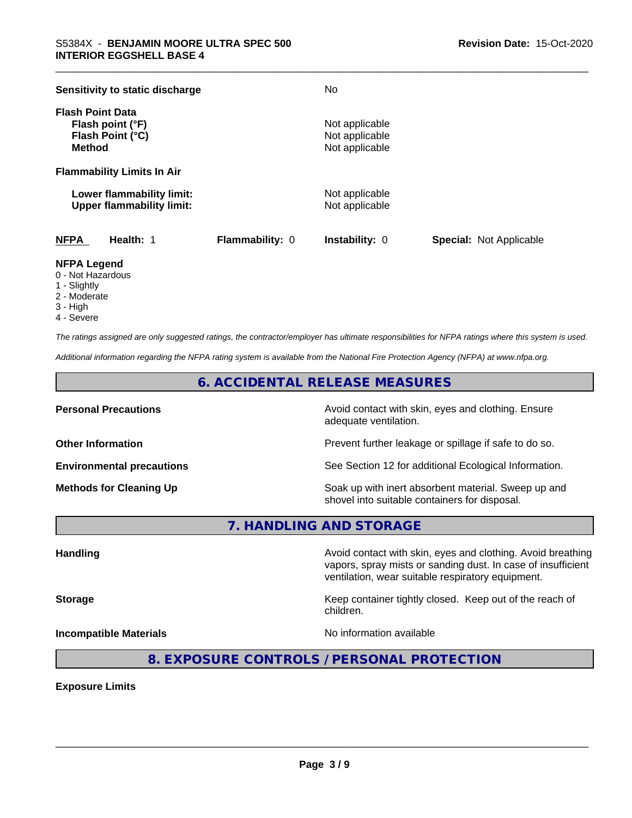| Sensitivity to static discharge                                                  |                        | No                                                 |                                |
|----------------------------------------------------------------------------------|------------------------|----------------------------------------------------|--------------------------------|
| <b>Flash Point Data</b><br>Flash point (°F)<br>Flash Point (°C)<br><b>Method</b> |                        | Not applicable<br>Not applicable<br>Not applicable |                                |
| <b>Flammability Limits In Air</b>                                                |                        |                                                    |                                |
| Lower flammability limit:<br><b>Upper flammability limit:</b>                    |                        | Not applicable<br>Not applicable                   |                                |
| <b>NFPA</b><br>Health: 1                                                         | <b>Flammability: 0</b> | <b>Instability: 0</b>                              | <b>Special: Not Applicable</b> |

#### **NFPA Legend**

- 0 Not Hazardous
- 1 Slightly
- 2 Moderate
- 3 High
- 4 Severe

*The ratings assigned are only suggested ratings, the contractor/employer has ultimate responsibilities for NFPA ratings where this system is used.*

*Additional information regarding the NFPA rating system is available from the National Fire Protection Agency (NFPA) at www.nfpa.org.*

## **6. ACCIDENTAL RELEASE MEASURES**

**Personal Precautions Precautions** Avoid contact with skin, eyes and clothing. Ensure adequate ventilation.

**Other Information Other Information Prevent further leakage or spillage if safe to do so.** 

**Environmental precautions** See Section 12 for additional Ecological Information.

**Methods for Cleaning Up Example 20 Soak** up with inert absorbent material. Sweep up and shovel into suitable containers for disposal.

vapors, spray mists or sanding dust. In case of insufficient

ventilation, wear suitable respiratory equipment.

**7. HANDLING AND STORAGE**

**Handling Avoid contact with skin, eyes and clothing. Avoid breathing Handling Avoid breathing** 

**Storage Keep container tightly closed.** Keep out of the reach of

**Incompatible Materials Incompatible Materials No information available** 

 $\overline{\phantom{a}}$  ,  $\overline{\phantom{a}}$  ,  $\overline{\phantom{a}}$  ,  $\overline{\phantom{a}}$  ,  $\overline{\phantom{a}}$  ,  $\overline{\phantom{a}}$  ,  $\overline{\phantom{a}}$  ,  $\overline{\phantom{a}}$  ,  $\overline{\phantom{a}}$  ,  $\overline{\phantom{a}}$  ,  $\overline{\phantom{a}}$  ,  $\overline{\phantom{a}}$  ,  $\overline{\phantom{a}}$  ,  $\overline{\phantom{a}}$  ,  $\overline{\phantom{a}}$  ,  $\overline{\phantom{a}}$ 

## **8. EXPOSURE CONTROLS / PERSONAL PROTECTION**

children.

**Exposure Limits**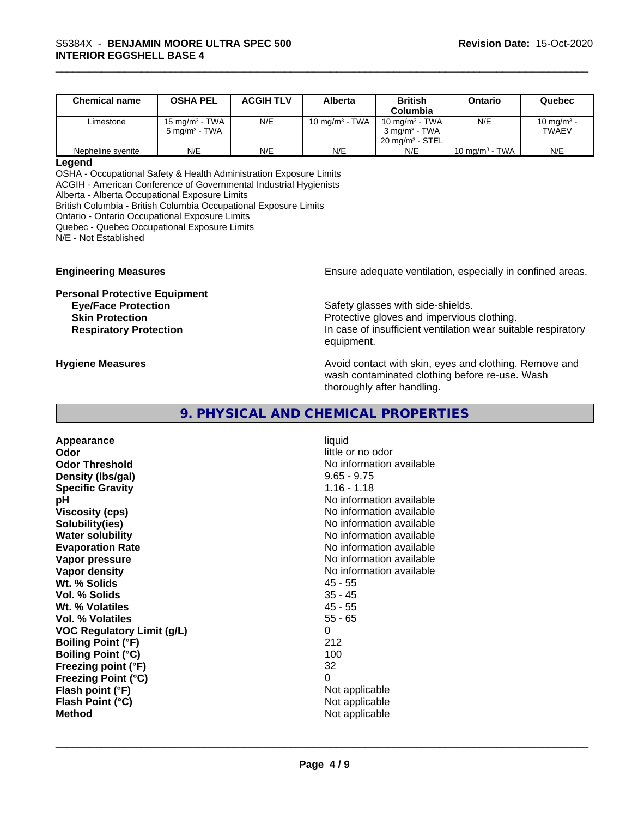| <b>Chemical name</b> | <b>OSHA PEL</b>                               | <b>ACGIH TLV</b> | Alberta           | <b>British</b><br>Columbia                                                  | Ontario           | Quebec                          |
|----------------------|-----------------------------------------------|------------------|-------------------|-----------------------------------------------------------------------------|-------------------|---------------------------------|
| Limestone            | 15 mg/m $3$ - TWA<br>$5 \text{ ma/m}^3$ - TWA | N/E              | 10 mg/m $3$ - TWA | 10 mg/m $3$ - TWA<br>$3 \text{ ma/m}^3$ - TWA<br>$20 \text{ ma/m}^3$ - STEL | N/E               | 10 mg/m <sup>3</sup> -<br>TWAEV |
| Nepheline syenite    | N/E                                           | N/E              | N/E               | N/E                                                                         | 10 mg/m $3$ - TWA | N/E                             |

#### **Legend**

OSHA - Occupational Safety & Health Administration Exposure Limits ACGIH - American Conference of Governmental Industrial Hygienists Alberta - Alberta Occupational Exposure Limits

British Columbia - British Columbia Occupational Exposure Limits

Ontario - Ontario Occupational Exposure Limits

Quebec - Quebec Occupational Exposure Limits

N/E - Not Established

**Personal Protective Equipment**

**Engineering Measures Ensure** Ensure adequate ventilation, especially in confined areas.

**Eye/Face Protection**<br>
Safety glasses with side-shields.<br> **Skin Protection**<br> **Skin Protection** Protective gloves and impervious clothing. **Respiratory Protection In case of insufficient ventilation wear suitable respiratory** equipment.

**Hygiene Measures Avoid contact with skin, eyes and clothing. Remove and Avoid contact with skin, eyes and clothing. Remove and Avoid contact with skin, eyes and clothing. Remove and** wash contaminated clothing before re-use. Wash thoroughly after handling.

#### **9. PHYSICAL AND CHEMICAL PROPERTIES**

**Appearance** liquid **Odor** little or no odor **Odor Threshold** No information available **Density (lbs/gal)** 9.65 - 9.75 **Specific Gravity** 1.16 - 1.18 **pH** No information available **Viscosity (cps)** No information available **Solubility(ies)** No information available **Water solubility** No information available **Evaporation Rate No information available No information available Vapor pressure** No information available in the North American Monte available in the North American available **Vapor density No information available No information available Wt. % Solids** 45 - 55 **Vol. % Solids** 35 - 45 **Wt. % Volatiles** 45 - 55 **Vol. % Volatiles** 55 - 65 **VOC Regulatory Limit (g/L)** 0 **Boiling Point (°F)** 212 **Boiling Point (°C)** 100 **Freezing point (°F)** 32 **Freezing Point (°C)** 0 **Flash point (°F)** Not applicable **Flash Point (°C)** Not applicable **Method** Not applicable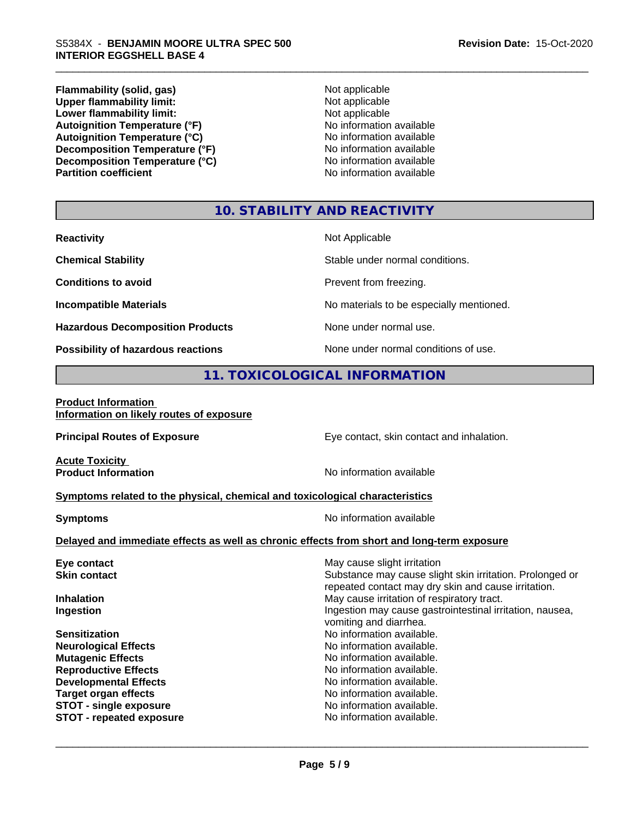**Flammability (solid, gas)**<br> **Upper flammability limit:**<br>
Upper flammability limit:<br>  $\begin{array}{ccc}\n\bullet & \bullet & \bullet \\
\bullet & \bullet & \bullet\n\end{array}$ **Upper flammability limit:**<br> **Lower flammability limit:**<br>
Not applicable<br>
Not applicable **Lower flammability limit:**<br> **Autoignition Temperature (°F)**<br>
Mo information available **Autoignition Temperature (°F)**<br> **Autoignition Temperature (°C)** No information available Autoignition Temperature (°C)<br>
Decomposition Temperature (°F)<br>
No information available **Decomposition Temperature (°F) Decomposition Temperature (°C)**<br> **Partition coefficient**<br> **Partition coefficient**<br> **No** information available

**No information available** 

### **10. STABILITY AND REACTIVITY**

| <b>Reactivity</b>                         | Not Applicable                           |
|-------------------------------------------|------------------------------------------|
| <b>Chemical Stability</b>                 | Stable under normal conditions.          |
| <b>Conditions to avoid</b>                | Prevent from freezing.                   |
| <b>Incompatible Materials</b>             | No materials to be especially mentioned. |
| <b>Hazardous Decomposition Products</b>   | None under normal use.                   |
| <b>Possibility of hazardous reactions</b> | None under normal conditions of use.     |

## **11. TOXICOLOGICAL INFORMATION**

#### **Product Information Information on likely routes of exposure**

**Principal Routes of Exposure Exposure** Eye contact, skin contact and inhalation.

**Acute Toxicity** 

**Product Information Intervalled and Contract Contract Contract Contract Product Information available** 

#### **Symptoms related to the physical,chemical and toxicological characteristics**

**Symptoms** No information available

## **Delayed and immediate effects as well as chronic effects from short and long-term exposure**

| Eye contact                     | May cause slight irritation                              |
|---------------------------------|----------------------------------------------------------|
| <b>Skin contact</b>             | Substance may cause slight skin irritation. Prolonged or |
|                                 | repeated contact may dry skin and cause irritation.      |
| <b>Inhalation</b>               | May cause irritation of respiratory tract.               |
| Ingestion                       | Ingestion may cause gastrointestinal irritation, nausea, |
|                                 | vomiting and diarrhea.                                   |
| <b>Sensitization</b>            | No information available.                                |
| <b>Neurological Effects</b>     | No information available.                                |
| <b>Mutagenic Effects</b>        | No information available.                                |
| <b>Reproductive Effects</b>     | No information available.                                |
| <b>Developmental Effects</b>    | No information available.                                |
| <b>Target organ effects</b>     | No information available.                                |
| <b>STOT - single exposure</b>   | No information available.                                |
| <b>STOT - repeated exposure</b> | No information available.                                |
|                                 |                                                          |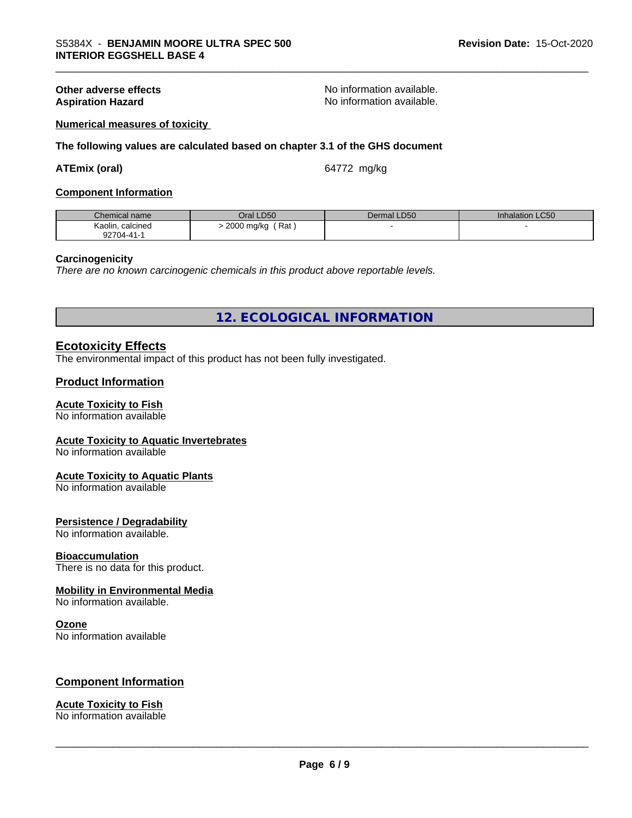**Other adverse effects**<br> **Aspiration Hazard**<br> **Aspiration Hazard**<br> **Aspiration Azard**<br> **Aspiration Azard**<br> **Aspiration Azard**<br> **Aspiration Azard**<br> **Aspiration Azard** No information available.

#### **Numerical measures of toxicity**

**The following values are calculated based on chapter 3.1 of the GHS document**

#### **ATEmix (oral)** 64772 mg/kg

#### **Component Information**

| Chemical name         | Oral LD50         | Dermal LD50 | Inhalation LC50 |
|-----------------------|-------------------|-------------|-----------------|
| Kaolin,<br>. calcined | Rat<br>2000 mg/kg |             |                 |
| 92704-41-             |                   |             |                 |

#### **Carcinogenicity**

*There are no known carcinogenic chemicals in this product above reportable levels.*

**12. ECOLOGICAL INFORMATION**

#### **Ecotoxicity Effects**

The environmental impact of this product has not been fully investigated.

#### **Product Information**

#### **Acute Toxicity to Fish**

No information available

#### **Acute Toxicity to Aquatic Invertebrates**

No information available

#### **Acute Toxicity to Aquatic Plants**

No information available

#### **Persistence / Degradability**

No information available.

#### **Bioaccumulation**

There is no data for this product.

### **Mobility in Environmental Media**

No information available.

#### **Ozone**

No information available

#### **Component Information**

## **Acute Toxicity to Fish**

No information available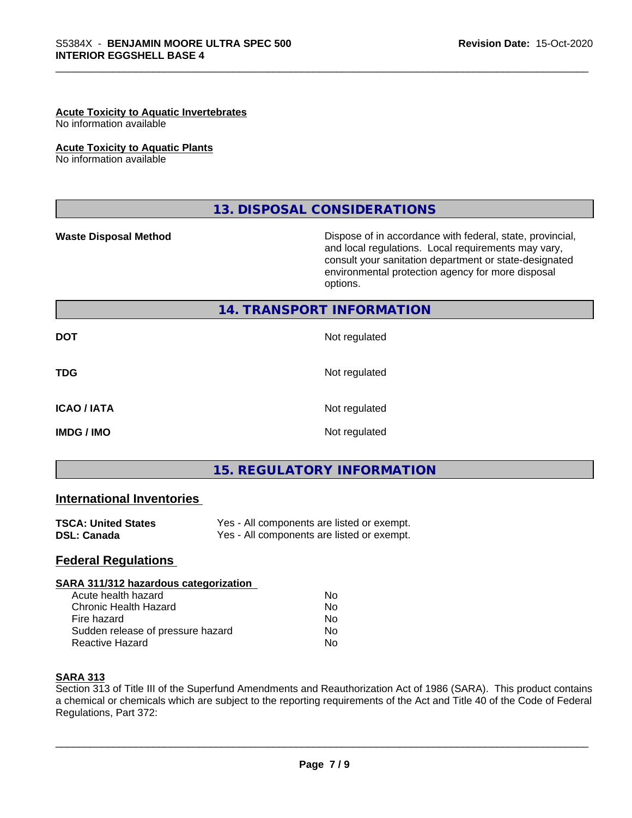#### **Acute Toxicity to Aquatic Invertebrates**

No information available

#### **Acute Toxicity to Aquatic Plants**

No information available

## **13. DISPOSAL CONSIDERATIONS**

**Waste Disposal Method Dispose of in accordance with federal, state, provincial,** and local regulations. Local requirements may vary, consult your sanitation department or state-designated environmental protection agency for more disposal options.

#### **14. TRANSPORT INFORMATION**

| <b>DOT</b>         | Not regulated |
|--------------------|---------------|
| <b>TDG</b>         | Not regulated |
| <b>ICAO / IATA</b> | Not regulated |
| <b>IMDG/IMO</b>    | Not regulated |

## **15. REGULATORY INFORMATION**

### **International Inventories**

| <b>TSCA: United States</b> | Yes - All components are listed or exempt. |
|----------------------------|--------------------------------------------|
| DSL: Canada                | Yes - All components are listed or exempt. |

#### **Federal Regulations**

#### **SARA 311/312 hazardous categorization**

| Acute health hazard               | Nο |  |
|-----------------------------------|----|--|
| Chronic Health Hazard             | N٥ |  |
| Fire hazard                       | N٥ |  |
| Sudden release of pressure hazard | N٥ |  |
| Reactive Hazard                   | N٥ |  |

#### **SARA 313**

Section 313 of Title III of the Superfund Amendments and Reauthorization Act of 1986 (SARA). This product contains a chemical or chemicals which are subject to the reporting requirements of the Act and Title 40 of the Code of Federal Regulations, Part 372: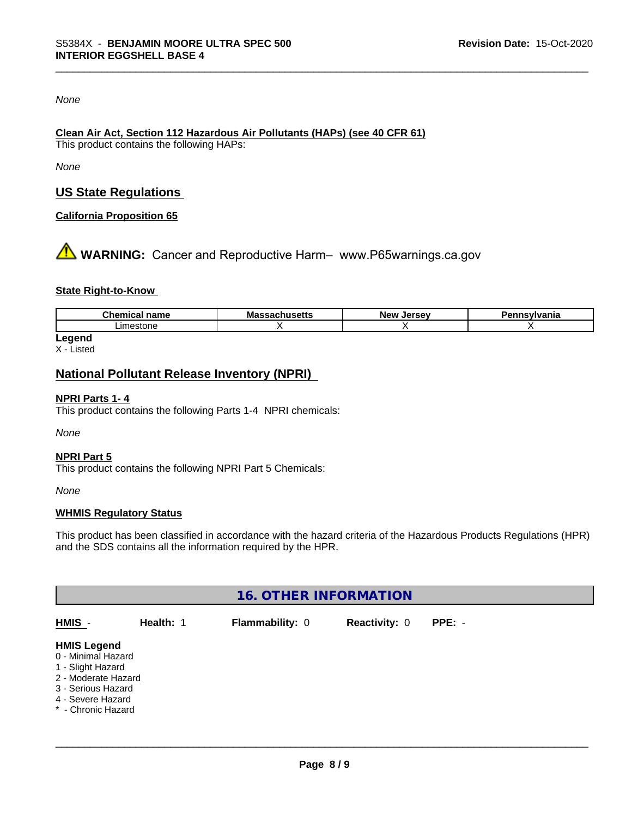#### *None*

## **Clean Air Act,Section 112 Hazardous Air Pollutants (HAPs) (see 40 CFR 61)**

This product contains the following HAPs:

*None*

## **US State Regulations**

#### **California Proposition 65**

**A** WARNING: Cancer and Reproductive Harm– www.P65warnings.ca.gov

#### **State Right-to-Know**

| ю<br> |  |  |
|-------|--|--|
| ∟ır   |  |  |

**Legend** X - Listed

## **National Pollutant Release Inventory (NPRI)**

#### **NPRI Parts 1- 4**

This product contains the following Parts 1-4 NPRI chemicals:

*None*

#### **NPRI Part 5**

This product contains the following NPRI Part 5 Chemicals:

*None*

#### **WHMIS Regulatory Status**

This product has been classified in accordance with the hazard criteria of the Hazardous Products Regulations (HPR) and the SDS contains all the information required by the HPR.

| <b>16. OTHER INFORMATION</b>                                                                                                                          |           |                 |                      |          |  |  |  |
|-------------------------------------------------------------------------------------------------------------------------------------------------------|-----------|-----------------|----------------------|----------|--|--|--|
| HMIS -                                                                                                                                                | Health: 1 | Flammability: 0 | <b>Reactivity: 0</b> | $PPE: -$ |  |  |  |
| <b>HMIS Legend</b><br>0 - Minimal Hazard<br>1 - Slight Hazard<br>2 - Moderate Hazard<br>3 - Serious Hazard<br>4 - Severe Hazard<br>* - Chronic Hazard |           |                 |                      |          |  |  |  |